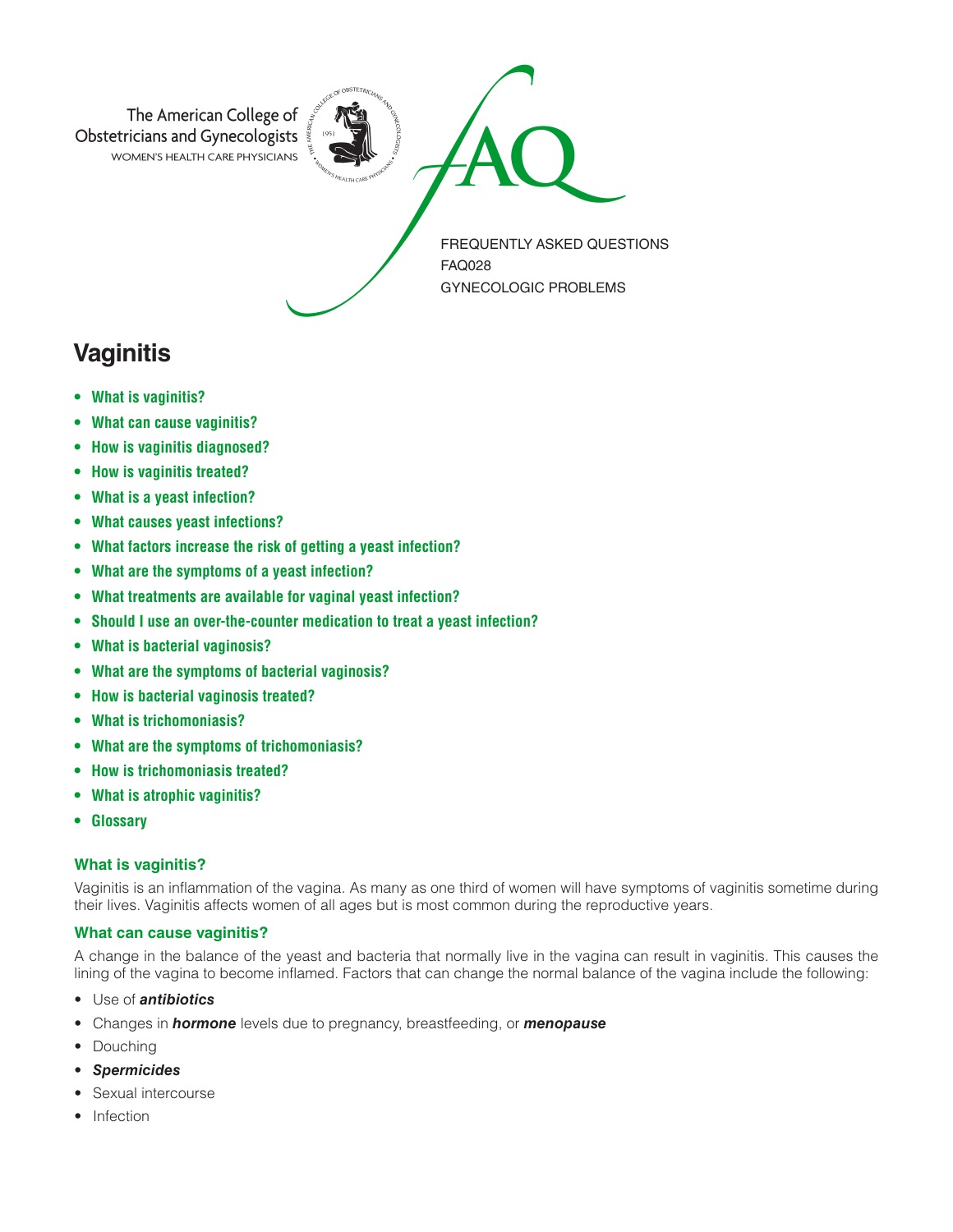

# **Vaginitis**

- **• What is vaginitis?**
- **• What can cause vaginitis?**
- **• How is vaginitis diagnosed?**
- **• How is vaginitis treated?**
- **• What is a yeast infection?**
- **• What causes yeast infections?**
- **• What factors increase the risk of getting a yeast infection?**
- **• What are the symptoms of a yeast infection?**
- **• What treatments are available for vaginal yeast infection?**
- **• Should I use an over-the-counter medication to treat a yeast infection?**
- **• What is bacterial vaginosis?**
- **• What are the symptoms of bacterial vaginosis?**
- **• How is bacterial vaginosis treated?**
- **• What is trichomoniasis?**
- **• What are the symptoms of trichomoniasis?**
- **• How is trichomoniasis treated?**
- **• What is atrophic vaginitis?**
- **• Glossary**

# **What is vaginitis?**

Vaginitis is an inflammation of the vagina. As many as one third of women will have symptoms of vaginitis sometime during their lives. Vaginitis affects women of all ages but is most common during the reproductive years.

# **What can cause vaginitis?**

A change in the balance of the yeast and bacteria that normally live in the vagina can result in vaginitis. This causes the lining of the vagina to become inflamed. Factors that can change the normal balance of the vagina include the following:

- Use of *antibiotics*
- Changes in *hormone* levels due to pregnancy, breastfeeding, or *menopause*
- Douching
- *Spermicides*
- Sexual intercourse
- Infection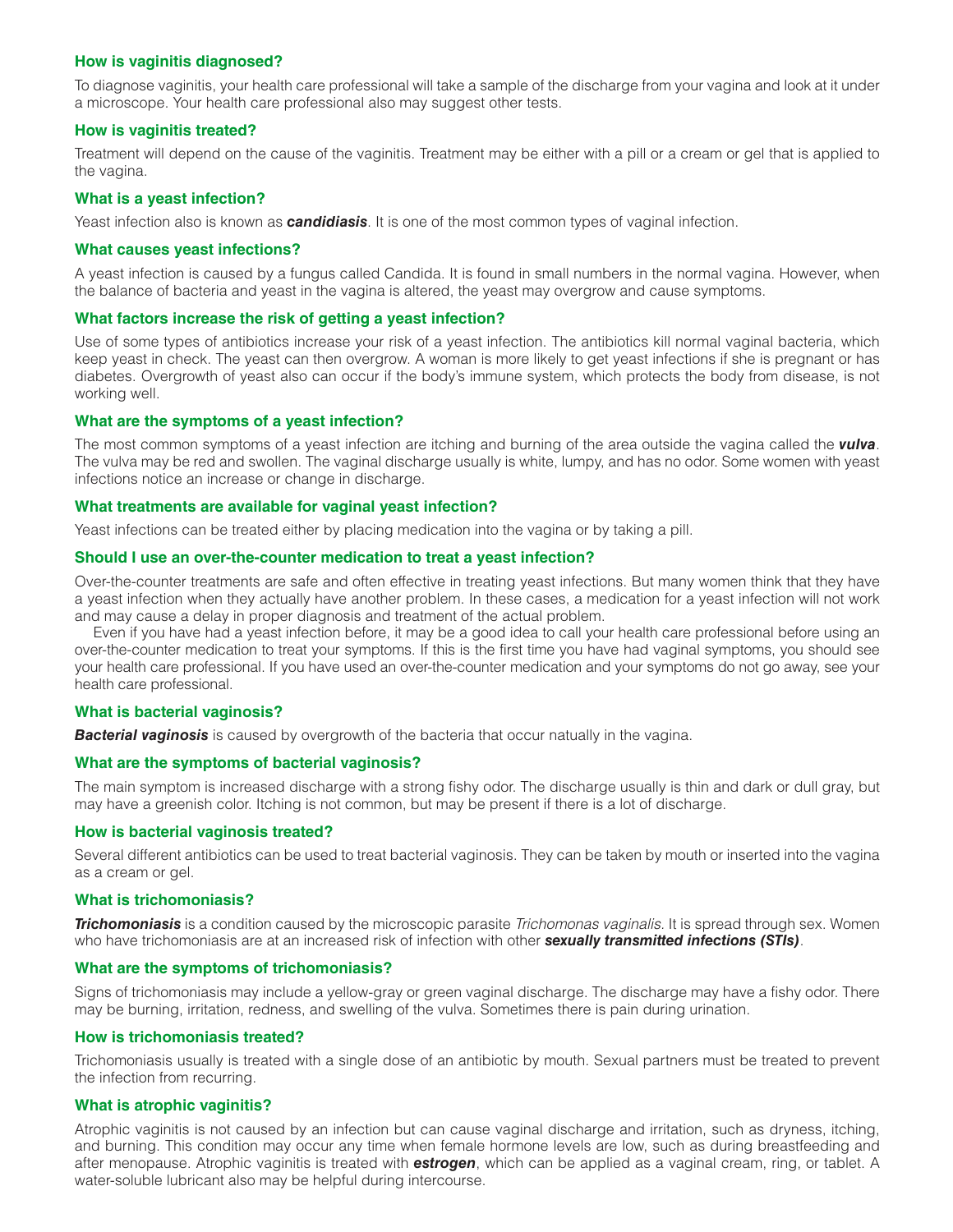## **How is vaginitis diagnosed?**

To diagnose vaginitis, your health care professional will take a sample of the discharge from your vagina and look at it under a microscope. Your health care professional also may suggest other tests.

# **How is vaginitis treated?**

Treatment will depend on the cause of the vaginitis. Treatment may be either with a pill or a cream or gel that is applied to the vagina.

# **What is a yeast infection?**

Yeast infection also is known as *candidiasis*. It is one of the most common types of vaginal infection.

#### **What causes yeast infections?**

A yeast infection is caused by a fungus called Candida. It is found in small numbers in the normal vagina. However, when the balance of bacteria and yeast in the vagina is altered, the yeast may overgrow and cause symptoms.

## **What factors increase the risk of getting a yeast infection?**

Use of some types of antibiotics increase your risk of a yeast infection. The antibiotics kill normal vaginal bacteria, which keep yeast in check. The yeast can then overgrow. A woman is more likely to get yeast infections if she is pregnant or has diabetes. Overgrowth of yeast also can occur if the body's immune system, which protects the body from disease, is not working well.

#### **What are the symptoms of a yeast infection?**

The most common symptoms of a yeast infection are itching and burning of the area outside the vagina called the *vulva*. The vulva may be red and swollen. The vaginal discharge usually is white, lumpy, and has no odor. Some women with yeast infections notice an increase or change in discharge.

#### **What treatments are available for vaginal yeast infection?**

Yeast infections can be treated either by placing medication into the vagina or by taking a pill.

#### **Should I use an over-the-counter medication to treat a yeast infection?**

Over-the-counter treatments are safe and often effective in treating yeast infections. But many women think that they have a yeast infection when they actually have another problem. In these cases, a medication for a yeast infection will not work and may cause a delay in proper diagnosis and treatment of the actual problem.

Even if you have had a yeast infection before, it may be a good idea to call your health care professional before using an over-the-counter medication to treat your symptoms. If this is the first time you have had vaginal symptoms, you should see your health care professional. If you have used an over-the-counter medication and your symptoms do not go away, see your health care professional.

#### **What is bacterial vaginosis?**

**Bacterial vaginosis** is caused by overgrowth of the bacteria that occur natually in the vagina.

#### **What are the symptoms of bacterial vaginosis?**

The main symptom is increased discharge with a strong fishy odor. The discharge usually is thin and dark or dull gray, but may have a greenish color. Itching is not common, but may be present if there is a lot of discharge.

#### **How is bacterial vaginosis treated?**

Several different antibiotics can be used to treat bacterial vaginosis. They can be taken by mouth or inserted into the vagina as a cream or gel.

#### **What is trichomoniasis?**

*Trichomoniasis* is a condition caused by the microscopic parasite *Trichomonas vaginalis.* It is spread through sex. Women who have trichomoniasis are at an increased risk of infection with other *sexually transmitted infections (STIs)*.

#### **What are the symptoms of trichomoniasis?**

Signs of trichomoniasis may include a yellow-gray or green vaginal discharge. The discharge may have a fishy odor. There may be burning, irritation, redness, and swelling of the vulva. Sometimes there is pain during urination.

#### **How is trichomoniasis treated?**

Trichomoniasis usually is treated with a single dose of an antibiotic by mouth. Sexual partners must be treated to prevent the infection from recurring.

#### **What is atrophic vaginitis?**

Atrophic vaginitis is not caused by an infection but can cause vaginal discharge and irritation, such as dryness, itching, and burning. This condition may occur any time when female hormone levels are low, such as during breastfeeding and after menopause. Atrophic vaginitis is treated with *estrogen*, which can be applied as a vaginal cream, ring, or tablet. A water-soluble lubricant also may be helpful during intercourse.